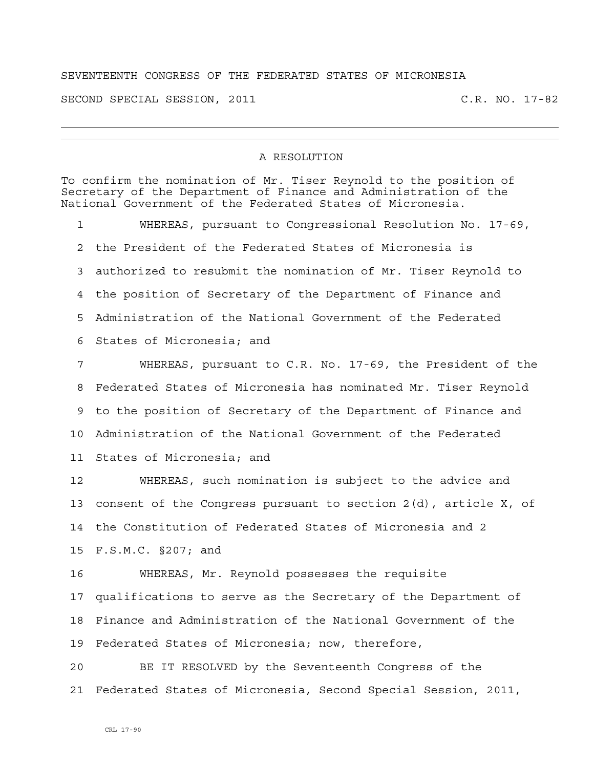## SEVENTEENTH CONGRESS OF THE FEDERATED STATES OF MICRONESIA

SECOND SPECIAL SESSION, 2011 C.R. NO. 17-82

## A RESOLUTION

To confirm the nomination of Mr. Tiser Reynold to the position of Secretary of the Department of Finance and Administration of the National Government of the Federated States of Micronesia. 1 WHEREAS, pursuant to Congressional Resolution No. 17-69, 2 the President of the Federated States of Micronesia is 3 authorized to resubmit the nomination of Mr. Tiser Reynold to 4 the position of Secretary of the Department of Finance and 5 Administration of the National Government of the Federated 6 States of Micronesia; and 7 WHEREAS, pursuant to C.R. No. 17-69, the President of the 8 Federated States of Micronesia has nominated Mr. Tiser Reynold 9 to the position of Secretary of the Department of Finance and 10 Administration of the National Government of the Federated 11 States of Micronesia; and 12 WHEREAS, such nomination is subject to the advice and 13 consent of the Congress pursuant to section 2(d), article X, of 14 the Constitution of Federated States of Micronesia and 2 15 F.S.M.C. §207; and 16 WHEREAS, Mr. Reynold possesses the requisite 17 qualifications to serve as the Secretary of the Department of 18 Finance and Administration of the National Government of the 19 Federated States of Micronesia; now, therefore, 20 BE IT RESOLVED by the Seventeenth Congress of the 21 Federated States of Micronesia, Second Special Session, 2011,